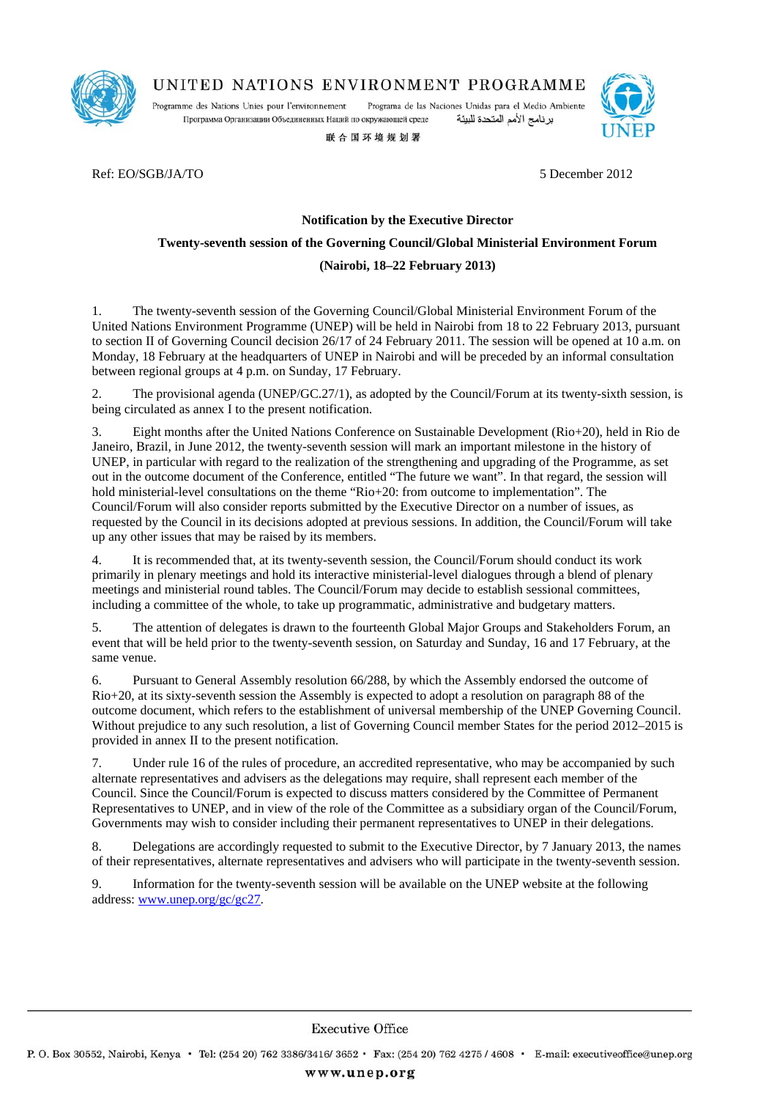

UNITED NATIONS ENVIRONMENT PROGRAMME

Programme des Nations Unies pour l'environnement Programa de las Naciones Unidas para el Medio Ambiente Программа Организации Объединенных Наций по окружающей среде برنامج الأمم المتحدة للبيئة

联合国环境规划署



Ref: EO/SGB/JA/TO 5 December 2012

# **Notification by the Executive Director**

#### **Twenty-seventh session of the Governing Council/Global Ministerial Environment Forum**

#### **(Nairobi, 18–22 February 2013)**

1. The twenty-seventh session of the Governing Council/Global Ministerial Environment Forum of the United Nations Environment Programme (UNEP) will be held in Nairobi from 18 to 22 February 2013, pursuant to section II of Governing Council decision 26/17 of 24 February 2011. The session will be opened at 10 a.m. on Monday, 18 February at the headquarters of UNEP in Nairobi and will be preceded by an informal consultation between regional groups at 4 p.m. on Sunday, 17 February.

2. The provisional agenda (UNEP/GC.27/1), as adopted by the Council/Forum at its twenty-sixth session, is being circulated as annex I to the present notification.

3. Eight months after the United Nations Conference on Sustainable Development (Rio+20), held in Rio de Janeiro, Brazil, in June 2012, the twenty-seventh session will mark an important milestone in the history of UNEP, in particular with regard to the realization of the strengthening and upgrading of the Programme, as set out in the outcome document of the Conference, entitled "The future we want". In that regard, the session will hold ministerial-level consultations on the theme "Rio+20: from outcome to implementation". The Council/Forum will also consider reports submitted by the Executive Director on a number of issues, as requested by the Council in its decisions adopted at previous sessions. In addition, the Council/Forum will take up any other issues that may be raised by its members.

4. It is recommended that, at its twenty-seventh session, the Council/Forum should conduct its work primarily in plenary meetings and hold its interactive ministerial-level dialogues through a blend of plenary meetings and ministerial round tables. The Council/Forum may decide to establish sessional committees, including a committee of the whole, to take up programmatic, administrative and budgetary matters.

5. The attention of delegates is drawn to the fourteenth Global Major Groups and Stakeholders Forum, an event that will be held prior to the twenty-seventh session, on Saturday and Sunday, 16 and 17 February, at the same venue.

6. Pursuant to General Assembly resolution 66/288, by which the Assembly endorsed the outcome of Rio+20, at its sixty-seventh session the Assembly is expected to adopt a resolution on paragraph 88 of the outcome document, which refers to the establishment of universal membership of the UNEP Governing Council. Without prejudice to any such resolution, a list of Governing Council member States for the period 2012–2015 is provided in annex II to the present notification.

7. Under rule 16 of the rules of procedure, an accredited representative, who may be accompanied by such alternate representatives and advisers as the delegations may require, shall represent each member of the Council. Since the Council/Forum is expected to discuss matters considered by the Committee of Permanent Representatives to UNEP, and in view of the role of the Committee as a subsidiary organ of the Council/Forum, Governments may wish to consider including their permanent representatives to UNEP in their delegations.

8. Delegations are accordingly requested to submit to the Executive Director, by 7 January 2013, the names of their representatives, alternate representatives and advisers who will participate in the twenty-seventh session.

9. Information for the twenty-seventh session will be available on the UNEP website at the following address: www.unep.org/gc/gc27.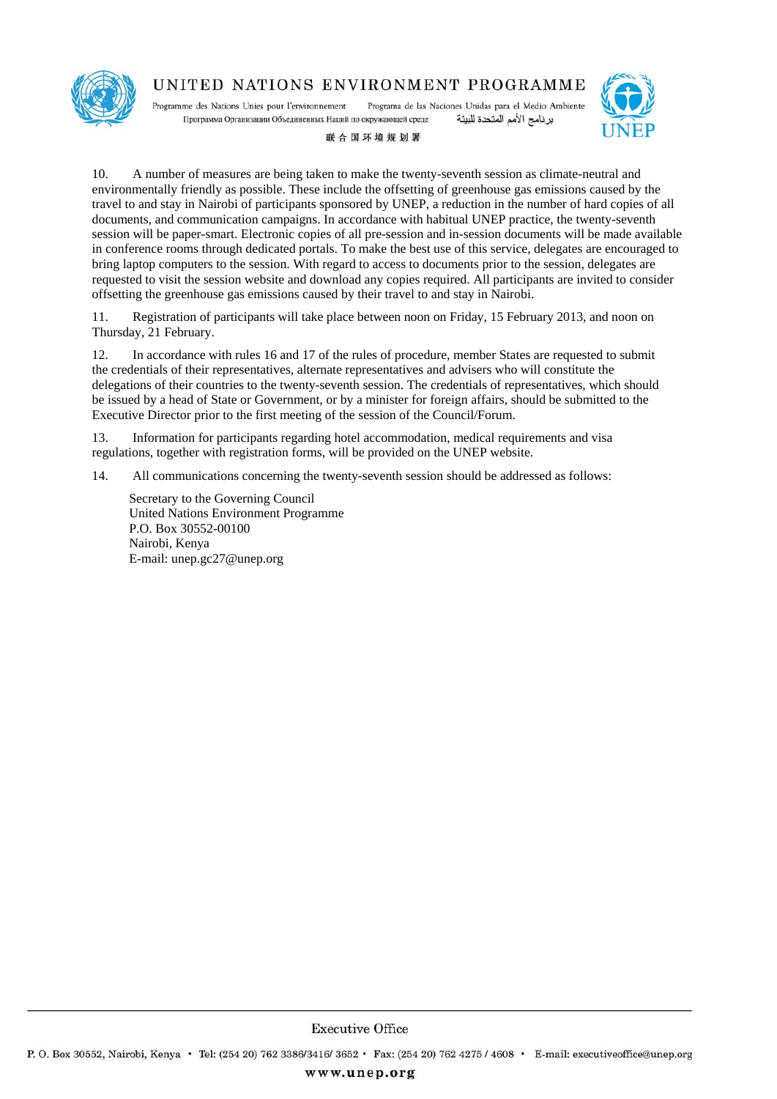

# UNITED NATIONS ENVIRONMENT PROGRAMME

Programme des Nations Unies pour l'environnement Programa de las Naciones Unidas para el Medio Ambiente Программа Организации Объединенных Наций по окружающей среде برنامج الأمم المتحدة للبيئة



#### 联合国环境规划署

10. A number of measures are being taken to make the twenty-seventh session as climate-neutral and environmentally friendly as possible. These include the offsetting of greenhouse gas emissions caused by the travel to and stay in Nairobi of participants sponsored by UNEP, a reduction in the number of hard copies of all documents, and communication campaigns. In accordance with habitual UNEP practice, the twenty-seventh session will be paper-smart. Electronic copies of all pre-session and in-session documents will be made available in conference rooms through dedicated portals. To make the best use of this service, delegates are encouraged to bring laptop computers to the session. With regard to access to documents prior to the session, delegates are requested to visit the session website and download any copies required. All participants are invited to consider offsetting the greenhouse gas emissions caused by their travel to and stay in Nairobi.

11. Registration of participants will take place between noon on Friday, 15 February 2013, and noon on Thursday, 21 February.

12. In accordance with rules 16 and 17 of the rules of procedure, member States are requested to submit the credentials of their representatives, alternate representatives and advisers who will constitute the delegations of their countries to the twenty-seventh session. The credentials of representatives, which should be issued by a head of State or Government, or by a minister for foreign affairs, should be submitted to the Executive Director prior to the first meeting of the session of the Council/Forum.

13. Information for participants regarding hotel accommodation, medical requirements and visa regulations, together with registration forms, will be provided on the UNEP website.

14. All communications concerning the twenty-seventh session should be addressed as follows:

Secretary to the Governing Council United Nations Environment Programme P.O. Box 30552-00100 Nairobi, Kenya E-mail: unep.gc27@unep.org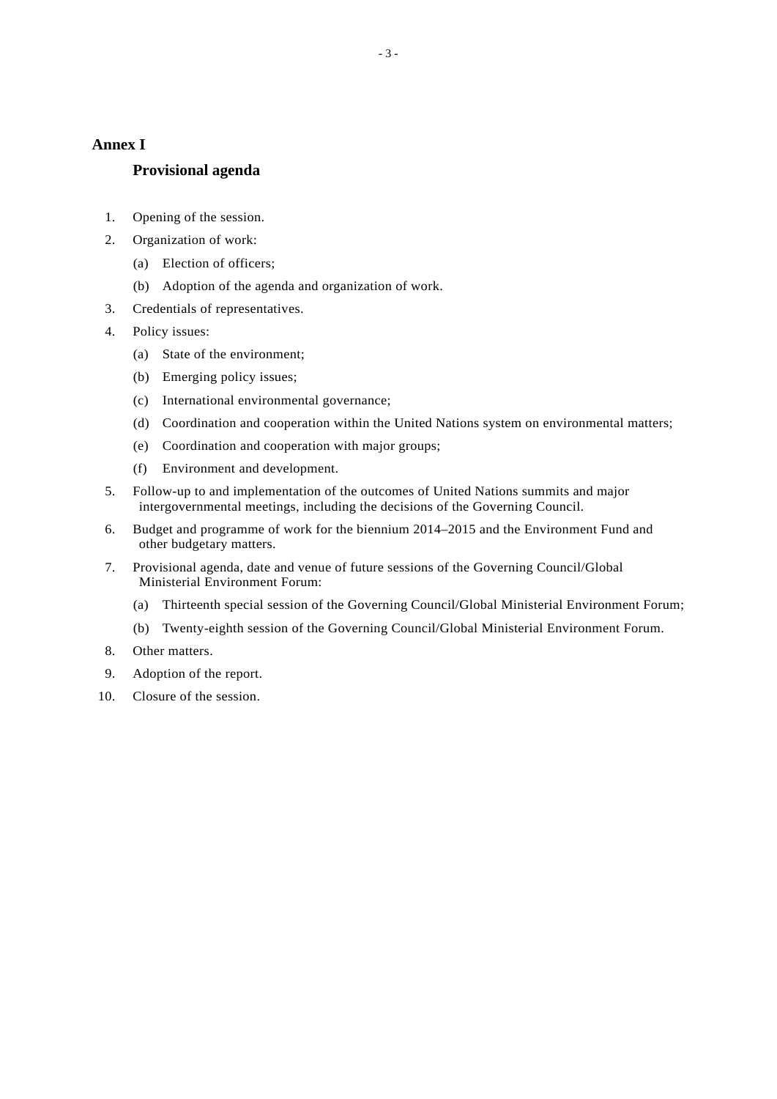# **Annex I**

# **Provisional agenda**

- 1. Opening of the session.
- 2. Organization of work:
	- (a) Election of officers;
	- (b) Adoption of the agenda and organization of work.
- 3. Credentials of representatives.
- 4. Policy issues:
	- (a) State of the environment;
	- (b) Emerging policy issues;
	- (c) International environmental governance;
	- (d) Coordination and cooperation within the United Nations system on environmental matters;
	- (e) Coordination and cooperation with major groups;
	- (f) Environment and development.
- 5. Follow-up to and implementation of the outcomes of United Nations summits and major intergovernmental meetings, including the decisions of the Governing Council.
- 6. Budget and programme of work for the biennium 2014–2015 and the Environment Fund and other budgetary matters.
- 7. Provisional agenda, date and venue of future sessions of the Governing Council/Global Ministerial Environment Forum:
	- (a) Thirteenth special session of the Governing Council/Global Ministerial Environment Forum;
	- (b) Twenty-eighth session of the Governing Council/Global Ministerial Environment Forum.
- 8. Other matters.
- 9. Adoption of the report.
- 10. Closure of the session.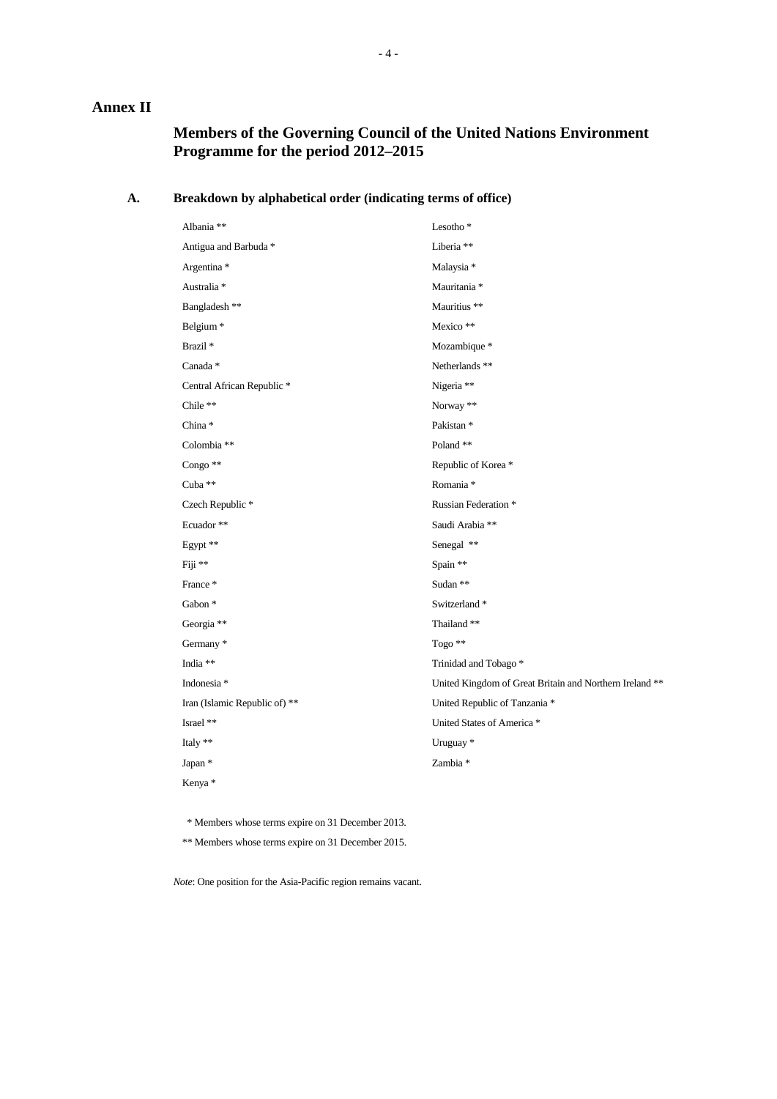# **Annex II**

# **Members of the Governing Council of the United Nations Environment Programme for the period 2012–2015**

## **A. Breakdown by alphabetical order (indicating terms of office)**

| Albania **                       | Lesotho <sup>*</sup>                                    |
|----------------------------------|---------------------------------------------------------|
| Antigua and Barbuda <sup>*</sup> | Liberia **                                              |
| Argentina *                      | Malaysia *                                              |
| Australia *                      | Mauritania *                                            |
| Bangladesh **                    | Mauritius **                                            |
| Belgium <sup>*</sup>             | Mexico **                                               |
| Brazil <sup>*</sup>              | Mozambique *                                            |
| Canada *                         | Netherlands **                                          |
| Central African Republic *       | Nigeria **                                              |
| Chile **                         | Norway **                                               |
| China*                           | Pakistan <sup>*</sup>                                   |
| Colombia **                      | Poland**                                                |
| Congo **                         | Republic of Korea*                                      |
| Cuba **                          | Romania *                                               |
| Czech Republic *                 | Russian Federation *                                    |
| Ecuador**                        | Saudi Arabia **                                         |
| Egypt **                         | Senegal **                                              |
| Fiji **                          | Spain **                                                |
| France*                          | Sudan **                                                |
| Gabon *                          | Switzerland*                                            |
| Georgia **                       | Thailand**                                              |
| Germany *                        | Togo **                                                 |
| India **                         | Trinidad and Tobago*                                    |
| Indonesia *                      | United Kingdom of Great Britain and Northern Ireland ** |
| Iran (Islamic Republic of) **    | United Republic of Tanzania *                           |
| Israel **                        | United States of America*                               |
| Italy **                         | Uruguay <sup>*</sup>                                    |
| Japan *                          | Zambia *                                                |
| Kenya*                           |                                                         |

\* Members whose terms expire on 31 December 2013.

\*\* Members whose terms expire on 31 December 2015.

*Note*: One position for the Asia-Pacific region remains vacant.